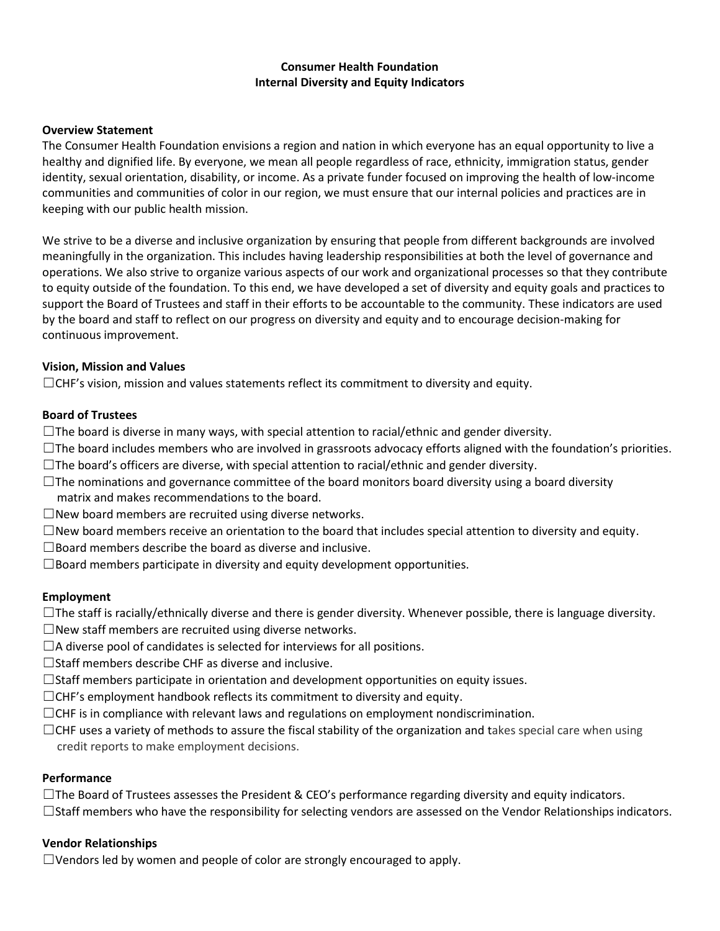## **Consumer Health Foundation Internal Diversity and Equity Indicators**

### **Overview Statement**

The Consumer Health Foundation envisions a region and nation in which everyone has an equal opportunity to live a healthy and dignified life. By everyone, we mean all people regardless of race, ethnicity, immigration status, gender identity, sexual orientation, disability, or income. As a private funder focused on improving the health of low-income communities and communities of color in our region, we must ensure that our internal policies and practices are in keeping with our public health mission.

We strive to be a diverse and inclusive organization by ensuring that people from different backgrounds are involved meaningfully in the organization. This includes having leadership responsibilities at both the level of governance and operations. We also strive to organize various aspects of our work and organizational processes so that they contribute to equity outside of the foundation. To this end, we have developed a set of diversity and equity goals and practices to support the Board of Trustees and staff in their efforts to be accountable to the community. These indicators are used by the board and staff to reflect on our progress on diversity and equity and to encourage decision-making for continuous improvement.

### **Vision, Mission and Values**

☐CHF's vision, mission and values statements reflect its commitment to diversity and equity.

### **Board of Trustees**

- $\Box$ The board is diverse in many ways, with special attention to racial/ethnic and gender diversity.
- $\Box$ The board includes members who are involved in grassroots advocacy efforts aligned with the foundation's priorities.
- $\Box$ The board's officers are diverse, with special attention to racial/ethnic and gender diversity.
- $\Box$ The nominations and governance committee of the board monitors board diversity using a board diversity
- matrix and makes recommendations to the board.
- $\Box$ New board members are recruited using diverse networks.
- $\square$ New board members receive an orientation to the board that includes special attention to diversity and equity.
- $\Box$ Board members describe the board as diverse and inclusive.
- $\square$ Board members participate in diversity and equity development opportunities.

## **Employment**

- $\Box$ The staff is racially/ethnically diverse and there is gender diversity. Whenever possible, there is language diversity.
- $\Box$ New staff members are recruited using diverse networks.
- $\Box$ A diverse pool of candidates is selected for interviews for all positions.
- ☐Staff members describe CHF as diverse and inclusive.
- $\Box$ Staff members participate in orientation and development opportunities on equity issues.
- $\Box$ CHF's employment handbook reflects its commitment to diversity and equity.
- $\Box$ CHF is in compliance with relevant laws and regulations on employment nondiscrimination.
- $\Box$ CHF uses a variety of methods to assure the fiscal stability of the organization and takes special care when using credit reports to make employment decisions.

#### **Performance**

 $\Box$ The Board of Trustees assesses the President & CEO's performance regarding diversity and equity indicators.  $\Box$ Staff members who have the responsibility for selecting vendors are assessed on the Vendor Relationships indicators.

#### **Vendor Relationships**

☐Vendors led by women and people of color are strongly encouraged to apply.